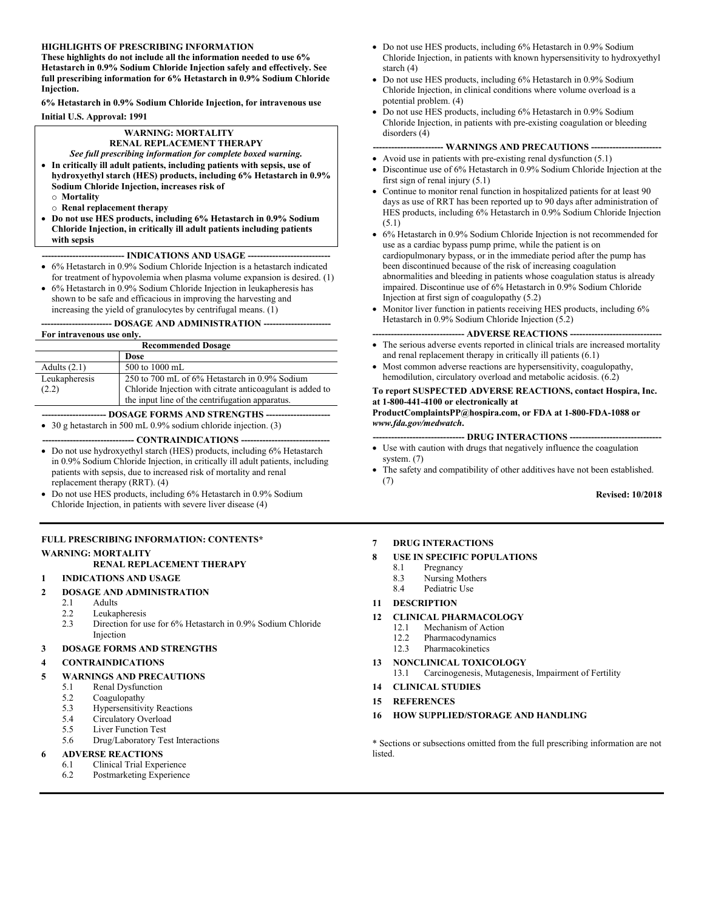#### **HIGHLIGHTS OF PRESCRIBING INFORMATION**

**These highlights do not include all the information needed to use 6% Hetastarch in 0.9% Sodium Chloride Injection safely and effectively. See full prescribing information for 6% Hetastarch in 0.9% Sodium Chloride Injection.**

**6% Hetastarch in 0.9% Sodium Chloride Injection, for intravenous use Initial U.S. Approval: 1991**

#### **WARNING: MORTALITY RENAL REPLACEMENT THERAPY**

- *See full prescribing information for complete boxed warning.* **In critically ill adult patients, including patients with sepsis, use of hydroxyethyl starch (HES) products, including 6% Hetastarch in 0.9% Sodium Chloride Injection, increases risk of** o **Mortality**
- o **Renal replacement therapy**
- **Do not use HES products, including 6% Hetastarch in 0.9% Sodium Chloride Injection, in critically ill adult patients including patients with sepsis**

#### -- **INDICATIONS AND USAGE -**

- 6% Hetastarch in 0.9% Sodium Chloride Injection is a hetastarch indicated for treatment of hypovolemia when plasma volume expansion is desired. (1)
- 6% Hetastarch in 0.9% Sodium Chloride Injection in leukapheresis has shown to be safe and efficacious in improving the harvesting and increasing the yield of granulocytes by centrifugal means. (1)

**----------------------- DOSAGE AND ADMINISTRATION ----------------------**

#### **For intravenous use only.**

| <b>Recommended Dosage</b> |                                                           |  |
|---------------------------|-----------------------------------------------------------|--|
|                           | Dose                                                      |  |
| Adults $(2.1)$            | 500 to 1000 mL                                            |  |
| Leukapheresis             | 250 to 700 mL of 6% Hetastarch in 0.9% Sodium             |  |
| (2.2)                     | Chloride Injection with citrate anticoagulant is added to |  |
|                           | the input line of the centrifugation apparatus.           |  |

**--------------------- DOSAGE FORMS AND STRENGTHS ---------------------**

30 g hetastarch in 500 mL 0.9% sodium chloride injection. (3)

- **------------------------------ CONTRAINDICATIONS -----------------------------**
- Do not use hydroxyethyl starch (HES) products, including 6% Hetastarch in 0.9% Sodium Chloride Injection, in critically ill adult patients, including patients with sepsis, due to increased risk of mortality and renal replacement therapy (RRT). (4)
- Do not use HES products, including 6% Hetastarch in 0.9% Sodium Chloride Injection, in patients with severe liver disease (4)

#### **FULL PRESCRIBING INFORMATION: CONTENTS\* WARNING: MORTALITY**

#### **RENAL REPLACEMENT THERAPY**

#### **1 INDICATIONS AND USAGE**

#### **2 DOSAGE AND ADMINISTRATION**

- 2.1 Adults<br>2.2 Leukar
- Leukapheresis
- 2.3 Direction for use for 6% Hetastarch in 0.9% Sodium Chloride Injection

#### **3 DOSAGE FORMS AND STRENGTHS**

#### **4 CONTRAINDICATIONS**

- **5 WARNINGS AND PRECAUTIONS**
	- 5.1 Renal Dysfunction
	- 5.2 Coagulopathy
	- 5.3 Hypersensitivity Reactions
	- 5.4 Circulatory Overload
	- 5.5 Liver Function Test<br>5.6 Drug/Laboratory Tes
	- 5.6 Drug/Laboratory Test Interactions

#### **6 ADVERSE REACTIONS**

- 6.1 Clinical Trial Experience
- 6.2 Postmarketing Experience
- Do not use HES products, including 6% Hetastarch in 0.9% Sodium Chloride Injection, in patients with known hypersensitivity to hydroxyethyl starch (4)
- Do not use HES products, including 6% Hetastarch in 0.9% Sodium Chloride Injection, in clinical conditions where volume overload is a potential problem. (4)
- Do not use HES products, including 6% Hetastarch in 0.9% Sodium Chloride Injection, in patients with pre-existing coagulation or bleeding disorders (4)

#### **----------------------- WARNINGS AND PRECAUTIONS -----------------------** • Avoid use in patients with pre-existing renal dysfunction  $(5.1)$

- Discontinue use of 6% Hetastarch in 0.9% Sodium Chloride Injection at the
- first sign of renal injury (5.1) Continue to monitor renal function in hospitalized patients for at least 90 days as use of RRT has been reported up to 90 days after administration of HES products, including 6% Hetastarch in 0.9% Sodium Chloride Injection (5.1)
- 6% Hetastarch in 0.9% Sodium Chloride Injection is not recommended for use as a cardiac bypass pump prime, while the patient is on cardiopulmonary bypass, or in the immediate period after the pump has been discontinued because of the risk of increasing coagulation abnormalities and bleeding in patients whose coagulation status is already impaired. Discontinue use of 6% Hetastarch in 0.9% Sodium Chloride Injection at first sign of coagulopathy (5.2)
- Monitor liver function in patients receiving HES products, including 6% Hetastarch in 0.9% Sodium Chloride Injection (5.2)

#### **---- ADVERSE REACTIONS ---**

- The serious adverse events reported in clinical trials are increased mortality and renal replacement therapy in critically ill patients (6.1)
- Most common adverse reactions are hypersensitivity, coagulopathy, hemodilution, circulatory overload and metabolic acidosis. (6.2)

#### **To report SUSPECTED ADVERSE REACTIONS, contact Hospira, Inc. at 1-800-441-4100 or electronically at ProductComplaintsPP@hospira.com, or FDA at 1-800-FDA-1088 or**  *www.fda.gov/medwatch***.**

#### -- **DRUG INTERACTIONS ---**

- Use with caution with drugs that negatively influence the coagulation system. (7)
- The safety and compatibility of other additives have not been established. (7)

#### **Revised: 10/2018**

#### **7 DRUG INTERACTIONS**

- **8 USE IN SPECIFIC POPULATIONS** 
	- Pregnancy
	- 8.3 Nursing Mothers
	- 8.4 Pediatric Use
- **11 DESCRIPTION**

#### **12 CLINICAL PHARMACOLOGY**

- 12.1 Mechanism of Action
- 12.2 Pharmacodynamics
- 12.3 Pharmacokinetics
- **13 NONCLINICAL TOXICOLOGY**
	- 13.1 Carcinogenesis, Mutagenesis, Impairment of Fertility
- **14 CLINICAL STUDIES**
- **15 REFERENCES**
- **16 HOW SUPPLIED/STORAGE AND HANDLING**

\* Sections or subsections omitted from the full prescribing information are not listed.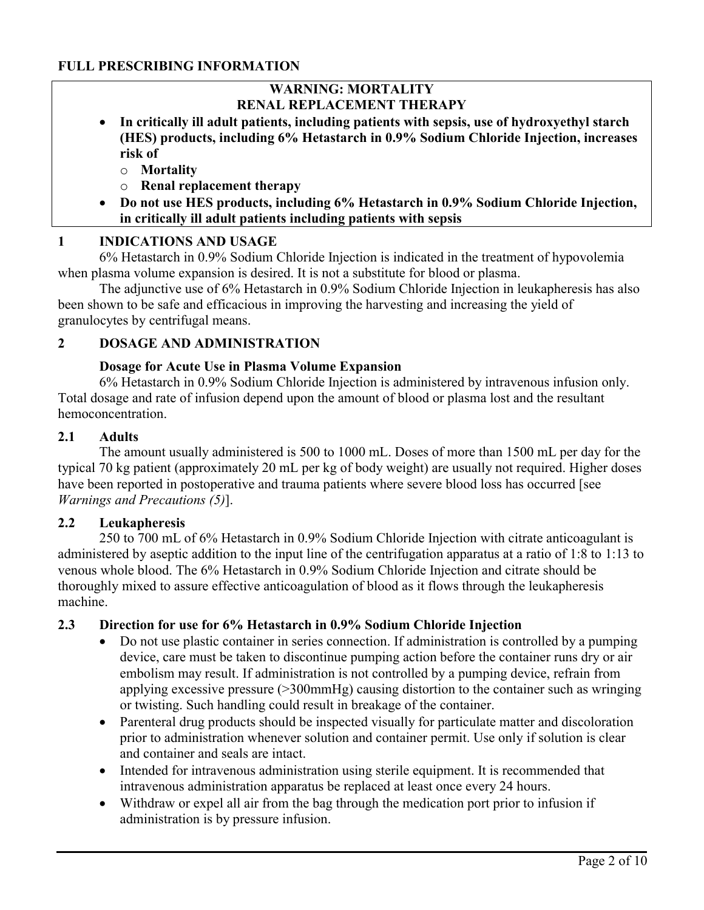#### **FULL PRESCRIBING INFORMATION**

#### **WARNING: MORTALITY RENAL REPLACEMENT THERAPY**

- **In critically ill adult patients, including patients with sepsis, use of hydroxyethyl starch (HES) products, including 6% Hetastarch in 0.9% Sodium Chloride Injection, increases risk of**
	- o **Mortality**
	- o **Renal replacement therapy**
- **Do not use HES products, including 6% Hetastarch in 0.9% Sodium Chloride Injection, in critically ill adult patients including patients with sepsis**

### **1 INDICATIONS AND USAGE**

6% Hetastarch in 0.9% Sodium Chloride Injection is indicated in the treatment of hypovolemia when plasma volume expansion is desired. It is not a substitute for blood or plasma.

The adjunctive use of 6% Hetastarch in 0.9% Sodium Chloride Injection in leukapheresis has also been shown to be safe and efficacious in improving the harvesting and increasing the yield of granulocytes by centrifugal means.

#### **2 DOSAGE AND ADMINISTRATION**

#### **Dosage for Acute Use in Plasma Volume Expansion**

6% Hetastarch in 0.9% Sodium Chloride Injection is administered by intravenous infusion only. Total dosage and rate of infusion depend upon the amount of blood or plasma lost and the resultant hemoconcentration.

#### **2.1 Adults**

The amount usually administered is 500 to 1000 mL. Doses of more than 1500 mL per day for the typical 70 kg patient (approximately 20 mL per kg of body weight) are usually not required. Higher doses have been reported in postoperative and trauma patients where severe blood loss has occurred [see *Warnings and Precautions (5)*].

#### **2.2 Leukapheresis**

250 to 700 mL of 6% Hetastarch in 0.9% Sodium Chloride Injection with citrate anticoagulant is administered by aseptic addition to the input line of the centrifugation apparatus at a ratio of 1:8 to 1:13 to venous whole blood. The 6% Hetastarch in 0.9% Sodium Chloride Injection and citrate should be thoroughly mixed to assure effective anticoagulation of blood as it flows through the leukapheresis machine.

#### **2.3 Direction for use for 6% Hetastarch in 0.9% Sodium Chloride Injection**

- Do not use plastic container in series connection. If administration is controlled by a pumping device, care must be taken to discontinue pumping action before the container runs dry or air embolism may result. If administration is not controlled by a pumping device, refrain from applying excessive pressure (>300mmHg) causing distortion to the container such as wringing or twisting. Such handling could result in breakage of the container.
- Parenteral drug products should be inspected visually for particulate matter and discoloration prior to administration whenever solution and container permit. Use only if solution is clear and container and seals are intact.
- Intended for intravenous administration using sterile equipment. It is recommended that intravenous administration apparatus be replaced at least once every 24 hours.
- Withdraw or expel all air from the bag through the medication port prior to infusion if administration is by pressure infusion.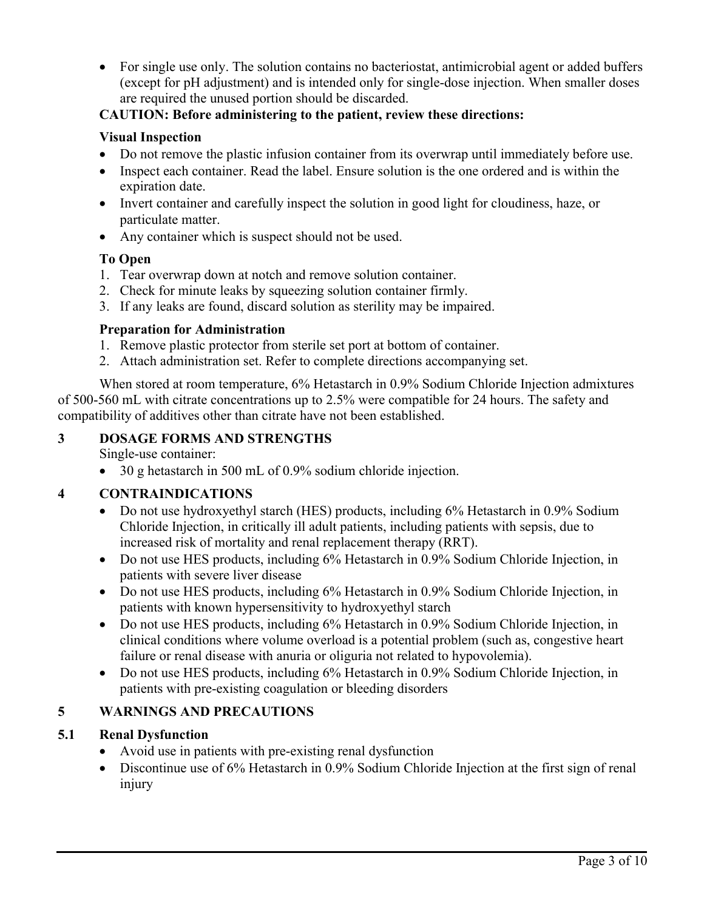For single use only. The solution contains no bacteriostat, antimicrobial agent or added buffers (except for pH adjustment) and is intended only for single-dose injection. When smaller doses are required the unused portion should be discarded.

## **CAUTION: Before administering to the patient, review these directions:**

### **Visual Inspection**

- Do not remove the plastic infusion container from its overwrap until immediately before use.
- Inspect each container. Read the label. Ensure solution is the one ordered and is within the expiration date.
- Invert container and carefully inspect the solution in good light for cloudiness, haze, or particulate matter.
- Any container which is suspect should not be used.

## **To Open**

- 1. Tear overwrap down at notch and remove solution container.
- 2. Check for minute leaks by squeezing solution container firmly.
- 3. If any leaks are found, discard solution as sterility may be impaired.

### **Preparation for Administration**

- 1. Remove plastic protector from sterile set port at bottom of container.
- 2. Attach administration set. Refer to complete directions accompanying set.

When stored at room temperature, 6% Hetastarch in 0.9% Sodium Chloride Injection admixtures of 500-560 mL with citrate concentrations up to 2.5% were compatible for 24 hours. The safety and compatibility of additives other than citrate have not been established.

## **3 DOSAGE FORMS AND STRENGTHS**

Single-use container:

30 g hetastarch in 500 mL of 0.9% sodium chloride injection.

## **4 CONTRAINDICATIONS**

- Do not use hydroxyethyl starch (HES) products, including 6% Hetastarch in 0.9% Sodium Chloride Injection, in critically ill adult patients, including patients with sepsis, due to increased risk of mortality and renal replacement therapy (RRT).
- Do not use HES products, including 6% Hetastarch in 0.9% Sodium Chloride Injection, in patients with severe liver disease
- Do not use HES products, including 6% Hetastarch in 0.9% Sodium Chloride Injection, in patients with known hypersensitivity to hydroxyethyl starch
- Do not use HES products, including 6% Hetastarch in 0.9% Sodium Chloride Injection, in clinical conditions where volume overload is a potential problem (such as, congestive heart failure or renal disease with anuria or oliguria not related to hypovolemia).
- Do not use HES products, including 6% Hetastarch in 0.9% Sodium Chloride Injection, in patients with pre-existing coagulation or bleeding disorders

## **5 WARNINGS AND PRECAUTIONS**

## **5.1 Renal Dysfunction**

- Avoid use in patients with pre-existing renal dysfunction
- Discontinue use of 6% Hetastarch in 0.9% Sodium Chloride Injection at the first sign of renal injury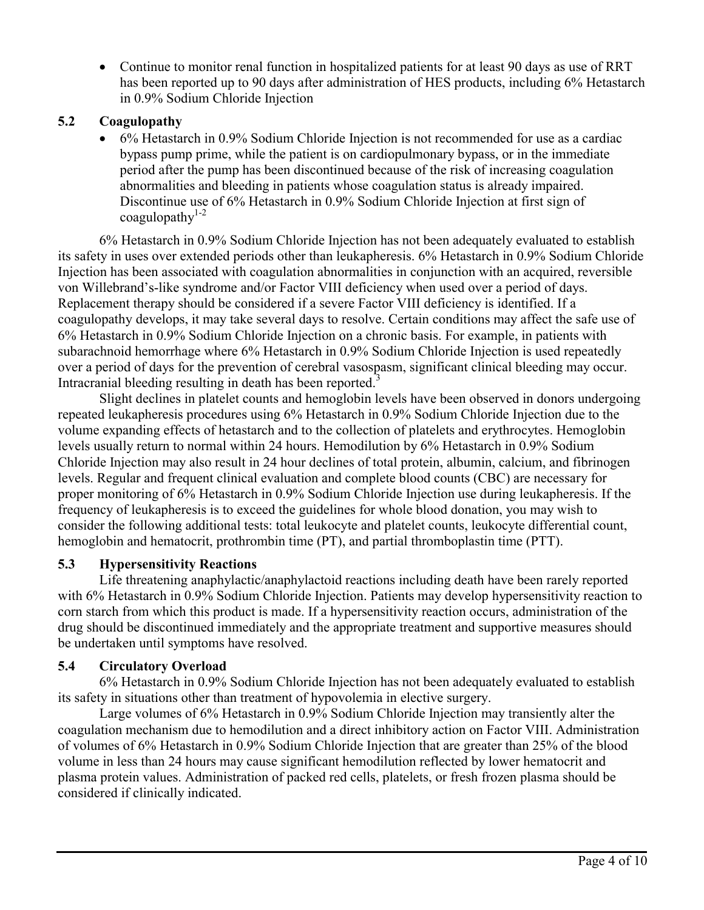Continue to monitor renal function in hospitalized patients for at least 90 days as use of RRT has been reported up to 90 days after administration of HES products, including 6% Hetastarch in 0.9% Sodium Chloride Injection

### **5.2 Coagulopathy**

 6% Hetastarch in 0.9% Sodium Chloride Injection is not recommended for use as a cardiac bypass pump prime, while the patient is on cardiopulmonary bypass, or in the immediate period after the pump has been discontinued because of the risk of increasing coagulation abnormalities and bleeding in patients whose coagulation status is already impaired. Discontinue use of 6% Hetastarch in 0.9% Sodium Chloride Injection at first sign of coagulopathy<sup>1-2</sup>

6% Hetastarch in 0.9% Sodium Chloride Injection has not been adequately evaluated to establish its safety in uses over extended periods other than leukapheresis. 6% Hetastarch in 0.9% Sodium Chloride Injection has been associated with coagulation abnormalities in conjunction with an acquired, reversible von Willebrand's-like syndrome and/or Factor VIII deficiency when used over a period of days. Replacement therapy should be considered if a severe Factor VIII deficiency is identified. If a coagulopathy develops, it may take several days to resolve. Certain conditions may affect the safe use of 6% Hetastarch in 0.9% Sodium Chloride Injection on a chronic basis. For example, in patients with subarachnoid hemorrhage where 6% Hetastarch in 0.9% Sodium Chloride Injection is used repeatedly over a period of days for the prevention of cerebral vasospasm, significant clinical bleeding may occur. Intracranial bleeding resulting in death has been reported.<sup>3</sup>

Slight declines in platelet counts and hemoglobin levels have been observed in donors undergoing repeated leukapheresis procedures using 6% Hetastarch in 0.9% Sodium Chloride Injection due to the volume expanding effects of hetastarch and to the collection of platelets and erythrocytes. Hemoglobin levels usually return to normal within 24 hours. Hemodilution by 6% Hetastarch in 0.9% Sodium Chloride Injection may also result in 24 hour declines of total protein, albumin, calcium, and fibrinogen levels. Regular and frequent clinical evaluation and complete blood counts (CBC) are necessary for proper monitoring of 6% Hetastarch in 0.9% Sodium Chloride Injection use during leukapheresis. If the frequency of leukapheresis is to exceed the guidelines for whole blood donation, you may wish to consider the following additional tests: total leukocyte and platelet counts, leukocyte differential count, hemoglobin and hematocrit, prothrombin time (PT), and partial thromboplastin time (PTT).

#### **5.3 Hypersensitivity Reactions**

Life threatening anaphylactic/anaphylactoid reactions including death have been rarely reported with 6% Hetastarch in 0.9% Sodium Chloride Injection. Patients may develop hypersensitivity reaction to corn starch from which this product is made. If a hypersensitivity reaction occurs, administration of the drug should be discontinued immediately and the appropriate treatment and supportive measures should be undertaken until symptoms have resolved.

#### **5.4 Circulatory Overload**

6% Hetastarch in 0.9% Sodium Chloride Injection has not been adequately evaluated to establish its safety in situations other than treatment of hypovolemia in elective surgery.

Large volumes of 6% Hetastarch in 0.9% Sodium Chloride Injection may transiently alter the coagulation mechanism due to hemodilution and a direct inhibitory action on Factor VIII. Administration of volumes of 6% Hetastarch in 0.9% Sodium Chloride Injection that are greater than 25% of the blood volume in less than 24 hours may cause significant hemodilution reflected by lower hematocrit and plasma protein values. Administration of packed red cells, platelets, or fresh frozen plasma should be considered if clinically indicated.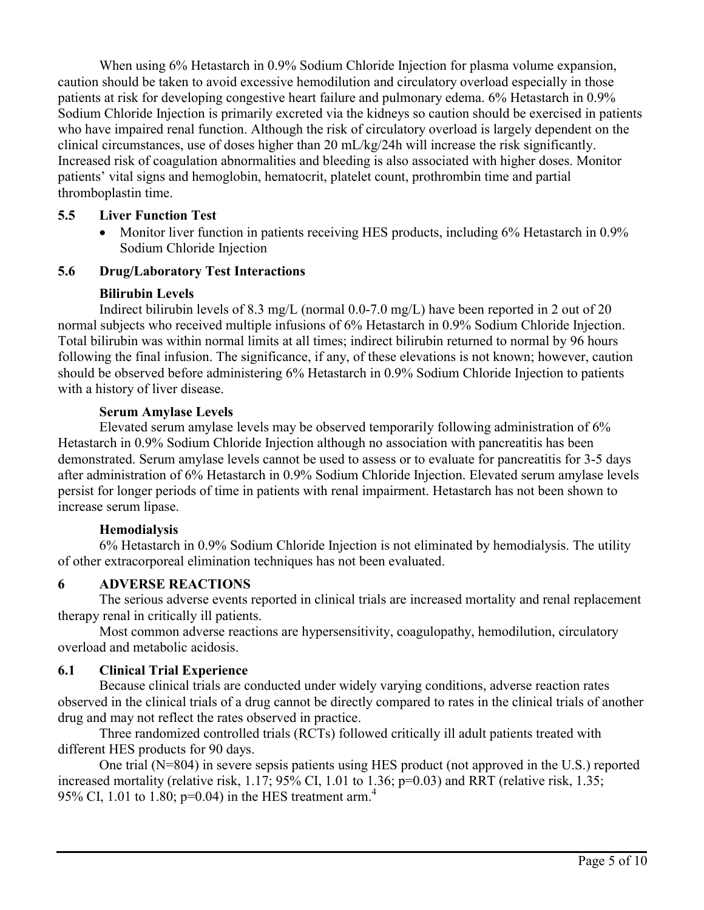When using 6% Hetastarch in 0.9% Sodium Chloride Injection for plasma volume expansion, caution should be taken to avoid excessive hemodilution and circulatory overload especially in those patients at risk for developing congestive heart failure and pulmonary edema. 6% Hetastarch in 0.9% Sodium Chloride Injection is primarily excreted via the kidneys so caution should be exercised in patients who have impaired renal function. Although the risk of circulatory overload is largely dependent on the clinical circumstances, use of doses higher than 20 mL/kg/24h will increase the risk significantly. Increased risk of coagulation abnormalities and bleeding is also associated with higher doses. Monitor patients' vital signs and hemoglobin, hematocrit, platelet count, prothrombin time and partial thromboplastin time.

#### **5.5 Liver Function Test**

Monitor liver function in patients receiving HES products, including 6% Hetastarch in 0.9% Sodium Chloride Injection

### **5.6 Drug/Laboratory Test Interactions**

#### **Bilirubin Levels**

Indirect bilirubin levels of 8.3 mg/L (normal 0.0-7.0 mg/L) have been reported in 2 out of 20 normal subjects who received multiple infusions of 6% Hetastarch in 0.9% Sodium Chloride Injection. Total bilirubin was within normal limits at all times; indirect bilirubin returned to normal by 96 hours following the final infusion. The significance, if any, of these elevations is not known; however, caution should be observed before administering 6% Hetastarch in 0.9% Sodium Chloride Injection to patients with a history of liver disease.

#### **Serum Amylase Levels**

Elevated serum amylase levels may be observed temporarily following administration of 6% Hetastarch in 0.9% Sodium Chloride Injection although no association with pancreatitis has been demonstrated. Serum amylase levels cannot be used to assess or to evaluate for pancreatitis for 3-5 days after administration of 6% Hetastarch in 0.9% Sodium Chloride Injection. Elevated serum amylase levels persist for longer periods of time in patients with renal impairment. Hetastarch has not been shown to increase serum lipase.

#### **Hemodialysis**

6% Hetastarch in 0.9% Sodium Chloride Injection is not eliminated by hemodialysis. The utility of other extracorporeal elimination techniques has not been evaluated.

#### **6 ADVERSE REACTIONS**

The serious adverse events reported in clinical trials are increased mortality and renal replacement therapy renal in critically ill patients.

Most common adverse reactions are hypersensitivity, coagulopathy, hemodilution, circulatory overload and metabolic acidosis.

#### **6.1 Clinical Trial Experience**

Because clinical trials are conducted under widely varying conditions, adverse reaction rates observed in the clinical trials of a drug cannot be directly compared to rates in the clinical trials of another drug and may not reflect the rates observed in practice.

Three randomized controlled trials (RCTs) followed critically ill adult patients treated with different HES products for 90 days.

One trial (N=804) in severe sepsis patients using HES product (not approved in the U.S.) reported increased mortality (relative risk, 1.17; 95% CI, 1.01 to 1.36; p=0.03) and RRT (relative risk, 1.35; 95% CI, 1.01 to 1.80;  $p=0.04$ ) in the HES treatment arm.<sup>4</sup>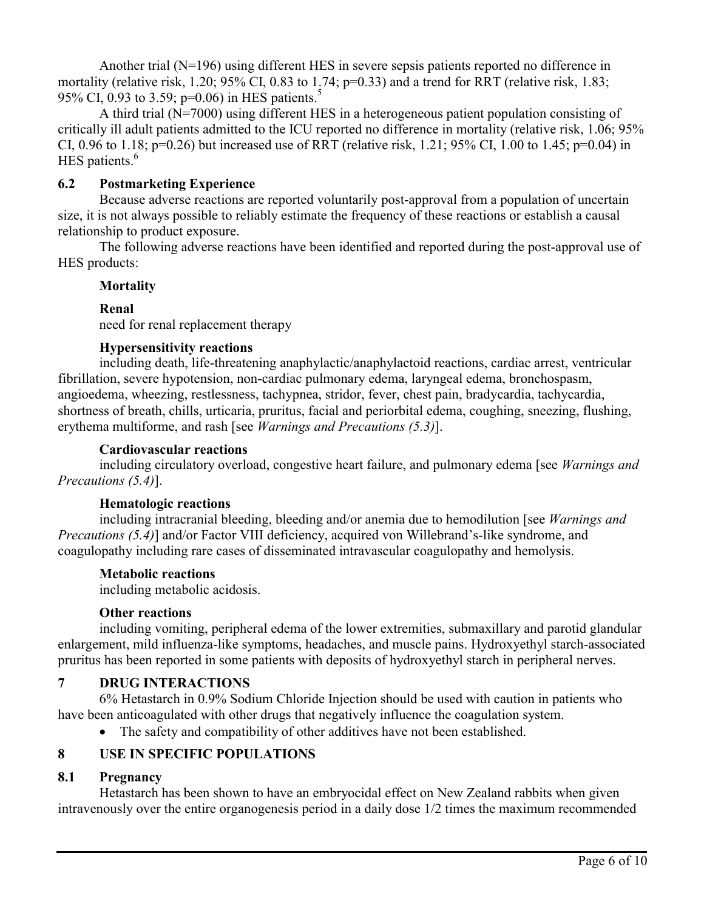Another trial (N=196) using different HES in severe sepsis patients reported no difference in mortality (relative risk, 1.20; 95% CI, 0.83 to 1.74; p=0.33) and a trend for RRT (relative risk, 1.83; 95% CI, 0.93 to 3.59; p=0.06) in HES patients.<sup>5</sup>

A third trial (N=7000) using different HES in a heterogeneous patient population consisting of critically ill adult patients admitted to the ICU reported no difference in mortality (relative risk, 1.06; 95% CI, 0.96 to 1.18; p=0.26) but increased use of RRT (relative risk, 1.21; 95% CI, 1.00 to 1.45; p=0.04) in HES patients.<sup>6</sup>

### **6.2 Postmarketing Experience**

Because adverse reactions are reported voluntarily post-approval from a population of uncertain size, it is not always possible to reliably estimate the frequency of these reactions or establish a causal relationship to product exposure.

The following adverse reactions have been identified and reported during the post-approval use of HES products:

### **Mortality**

### **Renal**

need for renal replacement therapy

### **Hypersensitivity reactions**

including death, life-threatening anaphylactic/anaphylactoid reactions, cardiac arrest, ventricular fibrillation, severe hypotension, non-cardiac pulmonary edema, laryngeal edema, bronchospasm, angioedema, wheezing, restlessness, tachypnea, stridor, fever, chest pain, bradycardia, tachycardia, shortness of breath, chills, urticaria, pruritus, facial and periorbital edema, coughing, sneezing, flushing, erythema multiforme, and rash [see *Warnings and Precautions (5.3)*].

#### **Cardiovascular reactions**

including circulatory overload, congestive heart failure, and pulmonary edema [see *Warnings and Precautions (5.4)*].

#### **Hematologic reactions**

including intracranial bleeding, bleeding and/or anemia due to hemodilution [see *Warnings and Precautions (5.4)*] and/or Factor VIII deficiency, acquired von Willebrand's-like syndrome, and coagulopathy including rare cases of disseminated intravascular coagulopathy and hemolysis.

#### **Metabolic reactions**

including metabolic acidosis.

#### **Other reactions**

including vomiting, peripheral edema of the lower extremities, submaxillary and parotid glandular enlargement, mild influenza-like symptoms, headaches, and muscle pains. Hydroxyethyl starch-associated pruritus has been reported in some patients with deposits of hydroxyethyl starch in peripheral nerves.

## **7 DRUG INTERACTIONS**

6% Hetastarch in 0.9% Sodium Chloride Injection should be used with caution in patients who have been anticoagulated with other drugs that negatively influence the coagulation system.

• The safety and compatibility of other additives have not been established.

## **8 USE IN SPECIFIC POPULATIONS**

## **8.1 Pregnancy**

Hetastarch has been shown to have an embryocidal effect on New Zealand rabbits when given intravenously over the entire organogenesis period in a daily dose 1/2 times the maximum recommended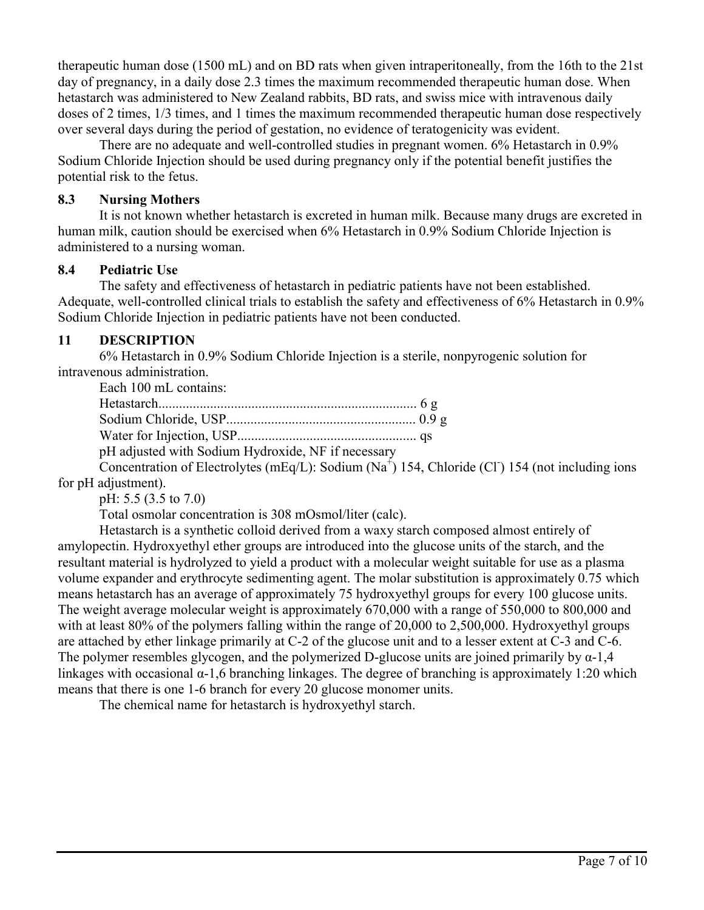therapeutic human dose (1500 mL) and on BD rats when given intraperitoneally, from the 16th to the 21st day of pregnancy, in a daily dose 2.3 times the maximum recommended therapeutic human dose. When hetastarch was administered to New Zealand rabbits, BD rats, and swiss mice with intravenous daily doses of 2 times, 1/3 times, and 1 times the maximum recommended therapeutic human dose respectively over several days during the period of gestation, no evidence of teratogenicity was evident.

There are no adequate and well-controlled studies in pregnant women. 6% Hetastarch in 0.9% Sodium Chloride Injection should be used during pregnancy only if the potential benefit justifies the potential risk to the fetus.

#### **8.3 Nursing Mothers**

It is not known whether hetastarch is excreted in human milk. Because many drugs are excreted in human milk, caution should be exercised when 6% Hetastarch in 0.9% Sodium Chloride Injection is administered to a nursing woman.

#### **8.4 Pediatric Use**

The safety and effectiveness of hetastarch in pediatric patients have not been established. Adequate, well-controlled clinical trials to establish the safety and effectiveness of 6% Hetastarch in 0.9% Sodium Chloride Injection in pediatric patients have not been conducted.

### **11 DESCRIPTION**

6% Hetastarch in 0.9% Sodium Chloride Injection is a sterile, nonpyrogenic solution for intravenous administration.

Each 100 mL contains:

| pH adjusted with Sodium Hydroxide, NF if necessary |  |
|----------------------------------------------------|--|

Concentration of Electrolytes (mEq/L): Sodium (Na<sup>+</sup>) 154, Chloride (Cl<sup>-</sup>) 154 (not including ions for pH adjustment).

pH: 5.5 (3.5 to 7.0)

Total osmolar concentration is 308 mOsmol/liter (calc).

Hetastarch is a synthetic colloid derived from a waxy starch composed almost entirely of amylopectin. Hydroxyethyl ether groups are introduced into the glucose units of the starch, and the resultant material is hydrolyzed to yield a product with a molecular weight suitable for use as a plasma volume expander and erythrocyte sedimenting agent. The molar substitution is approximately 0.75 which means hetastarch has an average of approximately 75 hydroxyethyl groups for every 100 glucose units. The weight average molecular weight is approximately 670,000 with a range of 550,000 to 800,000 and with at least 80% of the polymers falling within the range of 20,000 to 2,500,000. Hydroxyethyl groups are attached by ether linkage primarily at C-2 of the glucose unit and to a lesser extent at C-3 and C-6. The polymer resembles glycogen, and the polymerized D-glucose units are joined primarily by  $\alpha$ -1,4 linkages with occasional α-1,6 branching linkages. The degree of branching is approximately 1:20 which means that there is one 1-6 branch for every 20 glucose monomer units.

The chemical name for hetastarch is hydroxyethyl starch.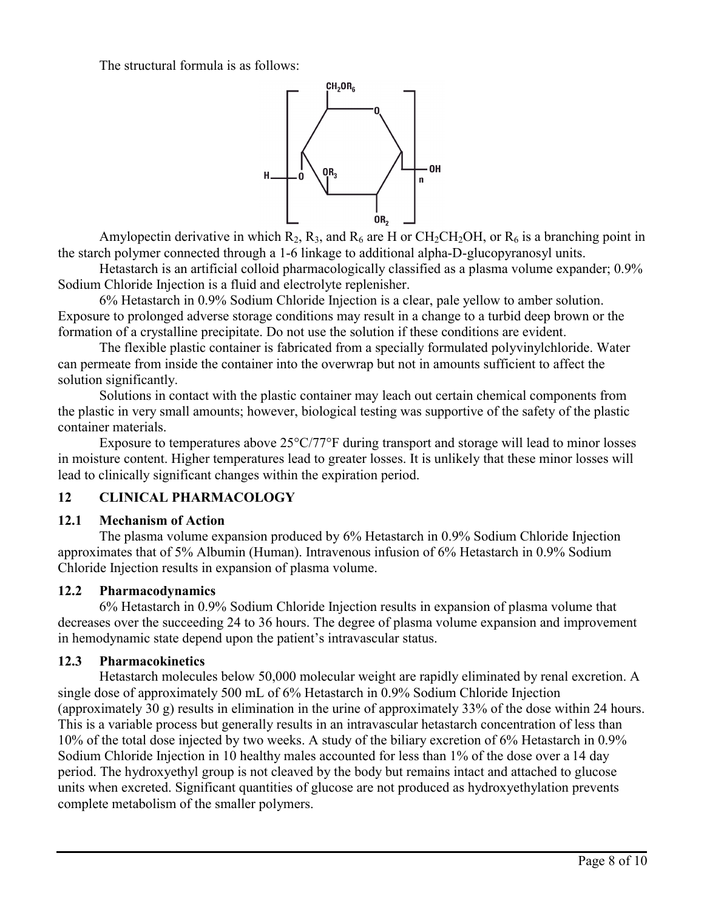The structural formula is as follows:



Amylopectin derivative in which  $R_2$ ,  $R_3$ , and  $R_6$  are H or CH<sub>2</sub>CH<sub>2</sub>OH, or  $R_6$  is a branching point in the starch polymer connected through a 1-6 linkage to additional alpha-D-glucopyranosyl units.

Hetastarch is an artificial colloid pharmacologically classified as a plasma volume expander; 0.9% Sodium Chloride Injection is a fluid and electrolyte replenisher.

6% Hetastarch in 0.9% Sodium Chloride Injection is a clear, pale yellow to amber solution. Exposure to prolonged adverse storage conditions may result in a change to a turbid deep brown or the formation of a crystalline precipitate. Do not use the solution if these conditions are evident.

The flexible plastic container is fabricated from a specially formulated polyvinylchloride. Water can permeate from inside the container into the overwrap but not in amounts sufficient to affect the solution significantly.

Solutions in contact with the plastic container may leach out certain chemical components from the plastic in very small amounts; however, biological testing was supportive of the safety of the plastic container materials.

Exposure to temperatures above 25°C/77°F during transport and storage will lead to minor losses in moisture content. Higher temperatures lead to greater losses. It is unlikely that these minor losses will lead to clinically significant changes within the expiration period.

#### **12 CLINICAL PHARMACOLOGY**

#### **12.1 Mechanism of Action**

The plasma volume expansion produced by 6% Hetastarch in 0.9% Sodium Chloride Injection approximates that of 5% Albumin (Human). Intravenous infusion of 6% Hetastarch in 0.9% Sodium Chloride Injection results in expansion of plasma volume.

## **12.2 Pharmacodynamics**

6% Hetastarch in 0.9% Sodium Chloride Injection results in expansion of plasma volume that decreases over the succeeding 24 to 36 hours. The degree of plasma volume expansion and improvement in hemodynamic state depend upon the patient's intravascular status.

## **12.3 Pharmacokinetics**

Hetastarch molecules below 50,000 molecular weight are rapidly eliminated by renal excretion. A single dose of approximately 500 mL of 6% Hetastarch in 0.9% Sodium Chloride Injection (approximately 30 g) results in elimination in the urine of approximately 33% of the dose within 24 hours. This is a variable process but generally results in an intravascular hetastarch concentration of less than 10% of the total dose injected by two weeks. A study of the biliary excretion of 6% Hetastarch in 0.9% Sodium Chloride Injection in 10 healthy males accounted for less than 1% of the dose over a 14 day period. The hydroxyethyl group is not cleaved by the body but remains intact and attached to glucose units when excreted. Significant quantities of glucose are not produced as hydroxyethylation prevents complete metabolism of the smaller polymers.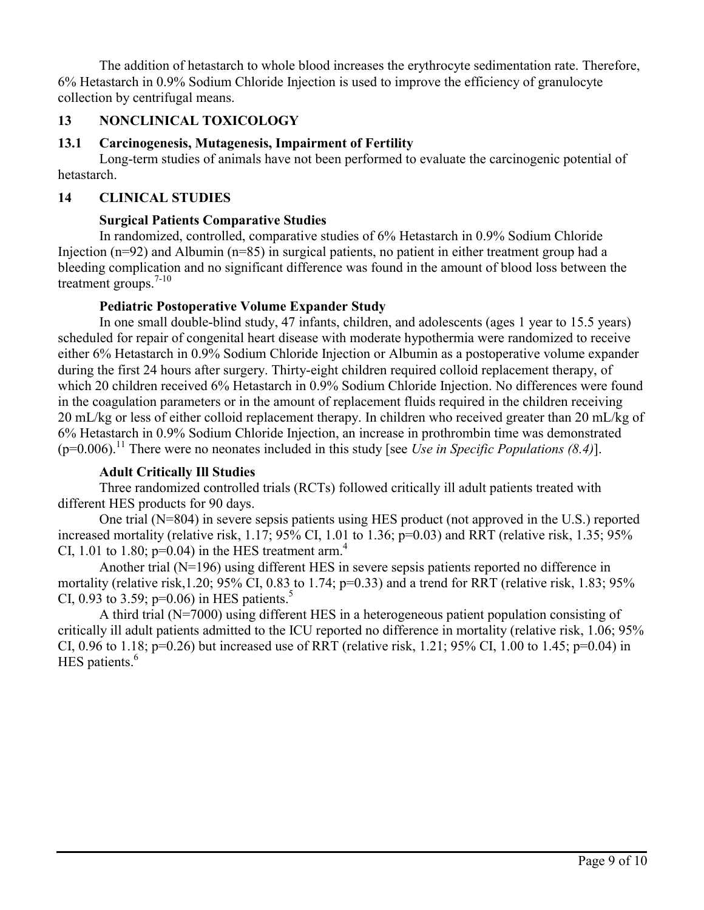The addition of hetastarch to whole blood increases the erythrocyte sedimentation rate. Therefore, 6% Hetastarch in 0.9% Sodium Chloride Injection is used to improve the efficiency of granulocyte collection by centrifugal means.

### **13 NONCLINICAL TOXICOLOGY**

# **13.1 Carcinogenesis, Mutagenesis, Impairment of Fertility**

Long-term studies of animals have not been performed to evaluate the carcinogenic potential of hetastarch.

# **14 CLINICAL STUDIES**

# **Surgical Patients Comparative Studies**

In randomized, controlled, comparative studies of 6% Hetastarch in 0.9% Sodium Chloride Injection (n=92) and Albumin (n=85) in surgical patients, no patient in either treatment group had a bleeding complication and no significant difference was found in the amount of blood loss between the treatment groups.<sup>7-10</sup>

# **Pediatric Postoperative Volume Expander Study**

In one small double-blind study, 47 infants, children, and adolescents (ages 1 year to 15.5 years) scheduled for repair of congenital heart disease with moderate hypothermia were randomized to receive either 6% Hetastarch in 0.9% Sodium Chloride Injection or Albumin as a postoperative volume expander during the first 24 hours after surgery. Thirty-eight children required colloid replacement therapy, of which 20 children received 6% Hetastarch in 0.9% Sodium Chloride Injection. No differences were found in the coagulation parameters or in the amount of replacement fluids required in the children receiving 20 mL/kg or less of either colloid replacement therapy. In children who received greater than 20 mL/kg of 6% Hetastarch in 0.9% Sodium Chloride Injection, an increase in prothrombin time was demonstrated ( $p=0.006$ ).<sup>11</sup> There were no neonates included in this study [see *Use in Specific Populations (8.4)*].

# **Adult Critically Ill Studies**

Three randomized controlled trials (RCTs) followed critically ill adult patients treated with different HES products for 90 days.

One trial (N=804) in severe sepsis patients using HES product (not approved in the U.S.) reported increased mortality (relative risk, 1.17; 95% CI, 1.01 to 1.36; p=0.03) and RRT (relative risk, 1.35; 95% CI, 1.01 to 1.80;  $p=0.04$ ) in the HES treatment arm.<sup>4</sup>

Another trial (N=196) using different HES in severe sepsis patients reported no difference in mortality (relative risk,  $1.20$ ;  $95\%$  CI, 0.83 to  $1.74$ ;  $p=0.33$ ) and a trend for RRT (relative risk,  $1.83$ ;  $95\%$ CI, 0.93 to 3.59; p=0.06) in HES patients.<sup>5</sup>

A third trial (N=7000) using different HES in a heterogeneous patient population consisting of critically ill adult patients admitted to the ICU reported no difference in mortality (relative risk, 1.06; 95% CI, 0.96 to 1.18; p=0.26) but increased use of RRT (relative risk, 1.21; 95% CI, 1.00 to 1.45; p=0.04) in HES patients.<sup>6</sup>